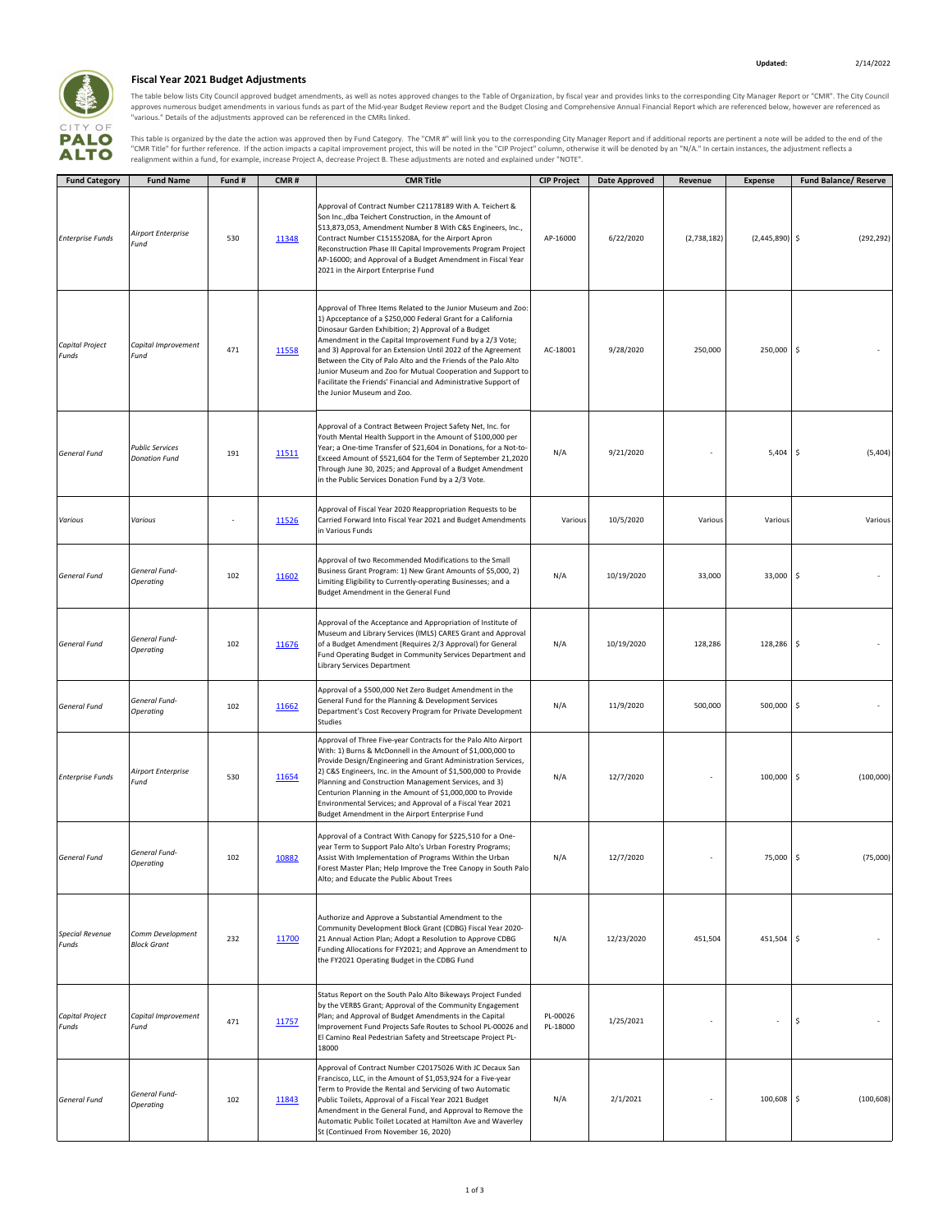

## **Fiscal Year 2021 Budget Adjustments**

The table below lists City Council approved budget amendments, as well as notes approved changes to the Table of Organization, by fiscal year and provides links to the corresponding City Manager Report or "CMR". The City C

This table is organized by the date the action was approved then by Fund Category. The "CMR #" will link you to the corresponding City Manager Report and if additional reports are pertinent a note will be added to the end

| <b>Fund Category</b>            | <b>Fund Name</b>                               | Fund# | CMR#  | <b>CMR Title</b>                                                                                                                                                                                                                                                                                                                                                                                                                                                                                                                                   | <b>CIP Project</b>   | Date Approved | Revenue     | <b>Expense</b>   | <b>Fund Balance/ Reserve</b> |
|---------------------------------|------------------------------------------------|-------|-------|----------------------------------------------------------------------------------------------------------------------------------------------------------------------------------------------------------------------------------------------------------------------------------------------------------------------------------------------------------------------------------------------------------------------------------------------------------------------------------------------------------------------------------------------------|----------------------|---------------|-------------|------------------|------------------------------|
| <b>Enterprise Funds</b>         | Airport Enterprise<br>Fund                     | 530   | 11348 | Approval of Contract Number C21178189 With A. Teichert &<br>Son Inc., dba Teichert Construction, in the Amount of<br>\$13,873,053, Amendment Number 8 With C&S Engineers, Inc.,<br>Contract Number C15155208A, for the Airport Apron<br>Reconstruction Phase III Capital Improvements Program Project<br>AP-16000; and Approval of a Budget Amendment in Fiscal Year<br>2021 in the Airport Enterprise Fund                                                                                                                                        | AP-16000             | 6/22/2020     | (2,738,182) | $(2,445,890)$ \$ | (292, 292)                   |
| Capital Project<br>Funds        | Capital Improvement<br>Fund                    | 471   | 11558 | Approval of Three Items Related to the Junior Museum and Zoo:<br>1) Apcceptance of a \$250,000 Federal Grant for a California<br>Dinosaur Garden Exhibition; 2) Approval of a Budget<br>Amendment in the Capital Improvement Fund by a 2/3 Vote;<br>and 3) Approval for an Extension Until 2022 of the Agreement<br>Between the City of Palo Alto and the Friends of the Palo Alto<br>Junior Museum and Zoo for Mutual Cooperation and Support to<br>Facilitate the Friends' Financial and Administrative Support of<br>the Junior Museum and Zoo. | AC-18001             | 9/28/2020     | 250,000     | 250,000          | \$                           |
| <b>General Fund</b>             | <b>Public Services</b><br><b>Donation Fund</b> | 191   | 11511 | Approval of a Contract Between Project Safety Net, Inc. for<br>Youth Mental Health Support in the Amount of \$100,000 per<br>Year; a One-time Transfer of \$21,604 in Donations, for a Not-to-<br>Exceed Amount of \$521,604 for the Term of September 21,2020<br>Through June 30, 2025; and Approval of a Budget Amendment<br>in the Public Services Donation Fund by a 2/3 Vote.                                                                                                                                                                 | N/A                  | 9/21/2020     |             | 5,404            | \$<br>(5,404)                |
| Various                         | Various                                        |       | 11526 | Approval of Fiscal Year 2020 Reappropriation Requests to be<br>Carried Forward Into Fiscal Year 2021 and Budget Amendments<br>in Various Funds                                                                                                                                                                                                                                                                                                                                                                                                     | Various              | 10/5/2020     | Various     | Various          | Various                      |
| General Fund                    | General Fund-<br>Operating                     | 102   | 11602 | Approval of two Recommended Modifications to the Small<br>Business Grant Program: 1) New Grant Amounts of \$5,000, 2)<br>Limiting Eligibility to Currently-operating Businesses; and a<br>Budget Amendment in the General Fund                                                                                                                                                                                                                                                                                                                     | N/A                  | 10/19/2020    | 33,000      | 33,000           | \$                           |
| <b>General Fund</b>             | General Fund-<br>Operating                     | 102   | 11676 | Approval of the Acceptance and Appropriation of Institute of<br>Museum and Library Services (IMLS) CARES Grant and Approval<br>of a Budget Amendment (Requires 2/3 Approval) for General<br>Fund Operating Budget in Community Services Department and<br>Library Services Department                                                                                                                                                                                                                                                              | N/A                  | 10/19/2020    | 128,286     | 128,286          | \$                           |
| <b>General Fund</b>             | General Fund-<br>Operating                     | 102   | 11662 | Approval of a \$500,000 Net Zero Budget Amendment in the<br>General Fund for the Planning & Development Services<br>Department's Cost Recovery Program for Private Development<br>Studies                                                                                                                                                                                                                                                                                                                                                          | N/A                  | 11/9/2020     | 500,000     | 500,000          | \$                           |
| <b>Enterprise Funds</b>         | <b>Airport Enterprise</b><br>Fund              | 530   | 11654 | Approval of Three Five-year Contracts for the Palo Alto Airport<br>With: 1) Burns & McDonnell in the Amount of \$1,000,000 to<br>Provide Design/Engineering and Grant Administration Services,<br>2) C&S Engineers, Inc. in the Amount of \$1,500,000 to Provide<br>Planning and Construction Management Services, and 3)<br>Centurion Planning in the Amount of \$1,000,000 to Provide<br>Environmental Services; and Approval of a Fiscal Year 2021<br>Budget Amendment in the Airport Enterprise Fund                                           | N/A                  | 12/7/2020     |             | 100,000          | \$<br>(100,000)              |
| <b>General Fund</b>             | General Fund-<br>Operating                     | 102   | 10882 | Approval of a Contract With Canopy for \$225,510 for a One-<br>year Term to Support Palo Alto's Urban Forestry Programs;<br>Assist With Implementation of Programs Within the Urban<br>Forest Master Plan; Help Improve the Tree Canopy in South Palo<br>Alto; and Educate the Public About Trees                                                                                                                                                                                                                                                  | N/A                  | 12/7/2020     |             | 75,000           | (75,000)<br>\$               |
| <b>Special Revenue</b><br>Funds | Comm Development<br><b>Block Grant</b>         | 232   | 11700 | Authorize and Approve a Substantial Amendment to the<br>Community Development Block Grant (CDBG) Fiscal Year 2020-<br>21 Annual Action Plan; Adopt a Resolution to Approve CDBG<br>Funding Allocations for FY2021; and Approve an Amendment to<br>the FY2021 Operating Budget in the CDBG Fund                                                                                                                                                                                                                                                     | N/A                  | 12/23/2020    | 451,504     | 451,504          | \$                           |
| <b>Capital Project</b><br>Funds | Capital Improvement<br>Fund                    | 471   | 11757 | Status Report on the South Palo Alto Bikeways Project Funded<br>by the VERBS Grant; Approval of the Community Engagement<br>Plan; and Approval of Budget Amendments in the Capital<br>Improvement Fund Projects Safe Routes to School PL-00026 and<br>El Camino Real Pedestrian Safety and Streetscape Project PL-<br>18000                                                                                                                                                                                                                        | PL-00026<br>PL-18000 | 1/25/2021     |             |                  | \$                           |
| <b>General Fund</b>             | General Fund-<br>Operating                     | 102   | 11843 | Approval of Contract Number C20175026 With JC Decaux San<br>Francisco, LLC, in the Amount of \$1,053,924 for a Five-year<br>Term to Provide the Rental and Servicing of two Automatic<br>Public Toilets, Approval of a Fiscal Year 2021 Budget<br>Amendment in the General Fund, and Approval to Remove the<br>Automatic Public Toilet Located at Hamilton Ave and Waverley<br>St (Continued From November 16, 2020)                                                                                                                               | N/A                  | 2/1/2021      | ÷           | 100,608          | \$<br>(100, 608)             |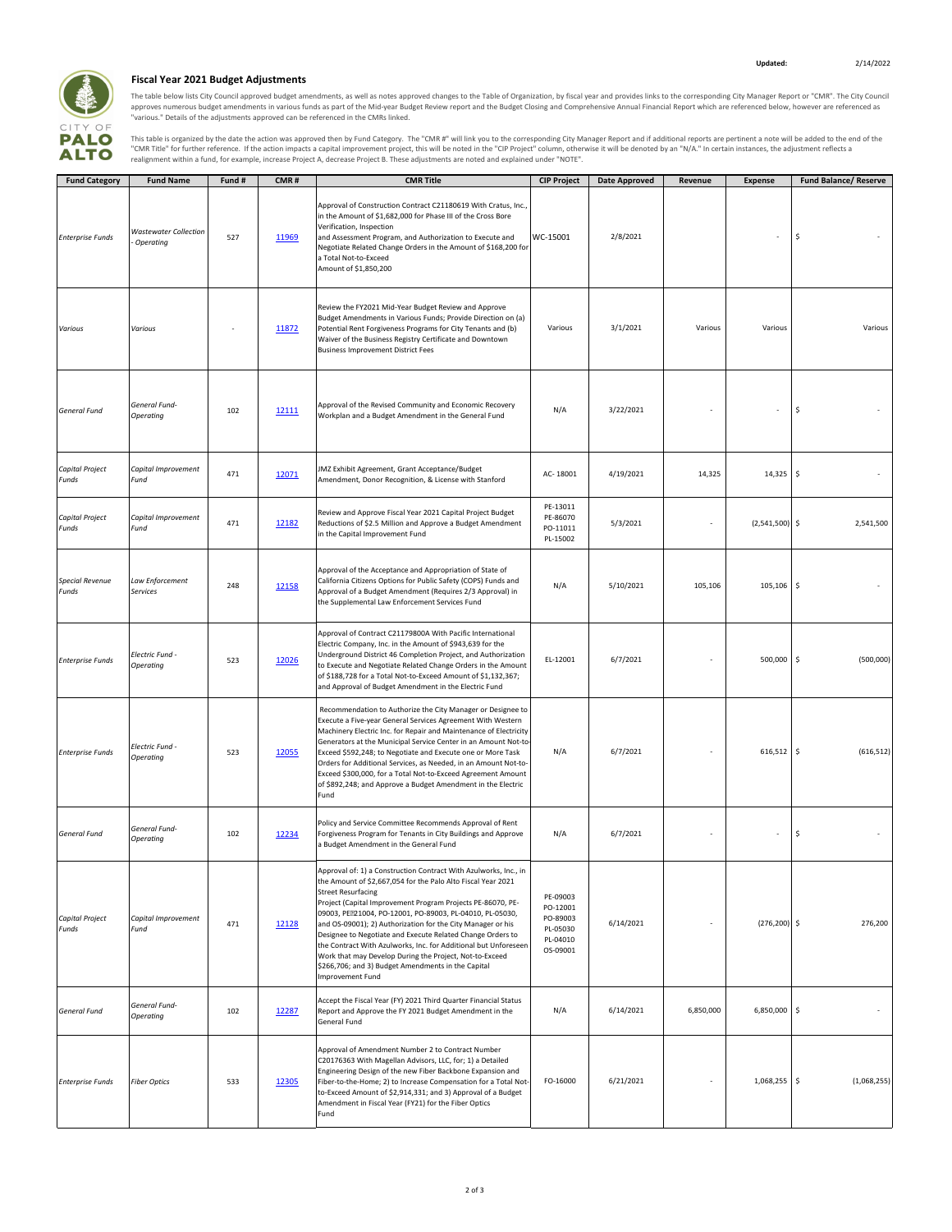

## **Fiscal Year 2021 Budget Adjustments**

The table below lists City Council approved budget amendments, as well as notes approved changes to the Table of Organization, by fiscal year and provides links to the corresponding City Manager Report or "CMR". The City C

This table is organized by the date the action was approved then by Fund Category. The "CMR #" will link you to the corresponding City Manager Report and if additional reports are pertinent a note will be added to the end

| <b>Fund Category</b>            | <b>Fund Name</b>                          | Fund # | CMR#  | <b>CMR Title</b>                                                                                                                                                                                                                                                                                                                                                                                                                                                                                                                                                                                                              | <b>CIP Project</b>                                                   | <b>Date Approved</b> | Revenue   | <b>Expense</b>   | <b>Fund Balance/ Reserve</b> |
|---------------------------------|-------------------------------------------|--------|-------|-------------------------------------------------------------------------------------------------------------------------------------------------------------------------------------------------------------------------------------------------------------------------------------------------------------------------------------------------------------------------------------------------------------------------------------------------------------------------------------------------------------------------------------------------------------------------------------------------------------------------------|----------------------------------------------------------------------|----------------------|-----------|------------------|------------------------------|
| <b>Enterprise Funds</b>         | <b>Wastewater Collection</b><br>Operating | 527    | 11969 | Approval of Construction Contract C21180619 With Cratus, Inc.,<br>in the Amount of \$1,682,000 for Phase III of the Cross Bore<br>Verification, Inspection<br>and Assessment Program, and Authorization to Execute and<br>Negotiate Related Change Orders in the Amount of \$168,200 for<br>a Total Not-to-Exceed<br>Amount of \$1,850,200                                                                                                                                                                                                                                                                                    | WC-15001                                                             | 2/8/2021             |           |                  | \$                           |
| Various                         | Various                                   |        | 11872 | Review the FY2021 Mid-Year Budget Review and Approve<br>Budget Amendments in Various Funds; Provide Direction on (a)<br>Potential Rent Forgiveness Programs for City Tenants and (b)<br>Waiver of the Business Registry Certificate and Downtown<br><b>Business Improvement District Fees</b>                                                                                                                                                                                                                                                                                                                                 | Various                                                              | 3/1/2021             | Various   | Various          | Various                      |
| General Fund                    | General Fund-<br>Operating                | 102    | 12111 | Approval of the Revised Community and Economic Recovery<br>Workplan and a Budget Amendment in the General Fund                                                                                                                                                                                                                                                                                                                                                                                                                                                                                                                | N/A                                                                  | 3/22/2021            |           |                  | \$                           |
| Capital Project<br>Funds        | Capital Improvement<br>Fund               | 471    | 12071 | JMZ Exhibit Agreement, Grant Acceptance/Budget<br>Amendment, Donor Recognition, & License with Stanford                                                                                                                                                                                                                                                                                                                                                                                                                                                                                                                       | AC-18001                                                             | 4/19/2021            | 14,325    | 14,325           | ۱\$                          |
| Capital Project<br>Funds        | Capital Improvement<br>Fund               | 471    | 12182 | Review and Approve Fiscal Year 2021 Capital Project Budget<br>Reductions of \$2.5 Million and Approve a Budget Amendment<br>in the Capital Improvement Fund                                                                                                                                                                                                                                                                                                                                                                                                                                                                   | PE-13011<br>PE-86070<br>PO-11011<br>PL-15002                         | 5/3/2021             |           | $(2,541,500)$ \$ | 2,541,500                    |
| <b>Special Revenue</b><br>Funds | Law Enforcement<br>Services               | 248    | 12158 | Approval of the Acceptance and Appropriation of State of<br>California Citizens Options for Public Safety (COPS) Funds and<br>Approval of a Budget Amendment (Requires 2/3 Approval) in<br>the Supplemental Law Enforcement Services Fund                                                                                                                                                                                                                                                                                                                                                                                     | N/A                                                                  | 5/10/2021            | 105,106   | 105,106          | l\$                          |
| <b>Enterprise Funds</b>         | Electric Fund -<br>Operating              | 523    | 12026 | Approval of Contract C21179800A With Pacific International<br>Electric Company, Inc. in the Amount of \$943,639 for the<br>Underground District 46 Completion Project, and Authorization<br>to Execute and Negotiate Related Change Orders in the Amount<br>of \$188,728 for a Total Not-to-Exceed Amount of \$1,132,367;<br>and Approval of Budget Amendment in the Electric Fund                                                                                                                                                                                                                                            | EL-12001                                                             | 6/7/2021             |           | 500,000          | (500,000)<br>-\$             |
| <b>Enterprise Funds</b>         | <b>Electric Fund -</b><br>Operating       | 523    | 12055 | Recommendation to Authorize the City Manager or Designee to<br>Execute a Five-year General Services Agreement With Western<br>Machinery Electric Inc. for Repair and Maintenance of Electricity<br>Generators at the Municipal Service Center in an Amount Not-to-<br>Exceed \$592,248; to Negotiate and Execute one or More Task<br>Orders for Additional Services, as Needed, in an Amount Not-to-<br>Exceed \$300,000, for a Total Not-to-Exceed Agreement Amount<br>of \$892,248; and Approve a Budget Amendment in the Electric<br>Fund                                                                                  | N/A                                                                  | 6/7/2021             |           | $616,512$ \$     | (616, 512)                   |
| <b>General Fund</b>             | General Fund-<br>Operating                | 102    | 12234 | Policy and Service Committee Recommends Approval of Rent<br>Forgiveness Program for Tenants in City Buildings and Approve<br>a Budget Amendment in the General Fund                                                                                                                                                                                                                                                                                                                                                                                                                                                           | N/A                                                                  | 6/7/2021             |           |                  | \$                           |
| <b>Capital Project</b><br>Funds | Capital Improvement<br>Fund               | 471    | 12128 | Approval of: 1) a Construction Contract With Azulworks, Inc., in<br>the Amount of \$2,667,054 for the Palo Alto Fiscal Year 2021<br><b>Street Resurfacing</b><br>Project (Capital Improvement Program Projects PE-86070, PE-<br>09003, PER21004, PO-12001, PO-89003, PL-04010, PL-05030,<br>and OS-09001); 2) Authorization for the City Manager or his<br>Designee to Negotiate and Execute Related Change Orders to<br>the Contract With Azulworks, Inc. for Additional but Unforeseen<br>Work that may Develop During the Project, Not-to-Exceed<br>\$266,706; and 3) Budget Amendments in the Capital<br>Improvement Fund | PE-09003<br>PO-12001<br>PO-89003<br>PL-05030<br>PL-04010<br>OS-09001 | 6/14/2021            |           | $(276, 200)$ \$  | 276,200                      |
| <b>General Fund</b>             | General Fund-<br>Operating                | 102    | 12287 | Accept the Fiscal Year (FY) 2021 Third Quarter Financial Status<br>Report and Approve the FY 2021 Budget Amendment in the<br>General Fund                                                                                                                                                                                                                                                                                                                                                                                                                                                                                     | N/A                                                                  | 6/14/2021            | 6,850,000 | 6,850,000 \$     |                              |
| <b>Enterprise Funds</b>         | <b>Fiber Optics</b>                       | 533    | 12305 | Approval of Amendment Number 2 to Contract Number<br>C20176363 With Magellan Advisors, LLC, for; 1) a Detailed<br>Engineering Design of the new Fiber Backbone Expansion and<br>Fiber-to-the-Home; 2) to Increase Compensation for a Total Not-<br>to-Exceed Amount of \$2,914,331; and 3) Approval of a Budget<br>Amendment in Fiscal Year (FY21) for the Fiber Optics<br>Fund                                                                                                                                                                                                                                               | FO-16000                                                             | 6/21/2021            |           | 1,068,255 \$     | (1,068,255)                  |